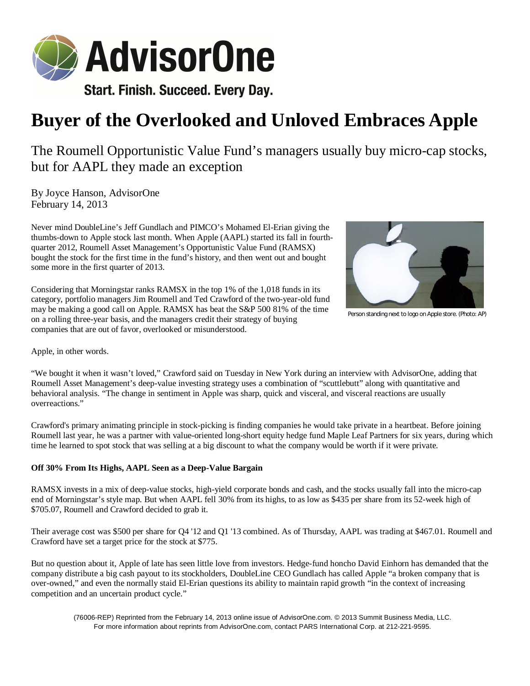

## **Buyer of the Overlooked and Unloved Embraces Apple**

The Roumell Opportunistic Value Fund's managers usually buy micro-cap stocks, but for AAPL they made an exception

By Joyce Hanson, AdvisorOne February 14, 2013

Never mind DoubleLine's Jeff Gundlach and PIMCO's Mohamed El-Erian giving the thumbs-down to Apple stock last month. When Apple (AAPL) started its fall in fourthquarter 2012, Roumell Asset Management's Opportunistic Value Fund (RAMSX) bought the stock for the first time in the fund's history, and then went out and bought some more in the first quarter of 2013.

Considering that Morningstar ranks RAMSX in the top 1% of the 1,018 funds in its category, portfolio managers Jim Roumell and Ted Crawford of the two-year-old fund may be making a good call on Apple. RAMSX has beat the S&P 500 81% of the time on a rolling three-year basis, and the managers credit their strategy of buying companies that are out of favor, overlooked or misunderstood.



Person standing next to logo on Apple store. (Photo: AP)

Apple, in other words.

"We bought it when it wasn't loved," Crawford said on Tuesday in New York during an interview with AdvisorOne, adding that Roumell Asset Management's deep-value investing strategy uses a combination of "scuttlebutt" along with quantitative and behavioral analysis. "The change in sentiment in Apple was sharp, quick and visceral, and visceral reactions are usually overreactions."

Crawford's primary animating principle in stock-picking is finding companies he would take private in a heartbeat. Before joining Roumell last year, he was a partner with value-oriented long-short equity hedge fund Maple Leaf Partners for six years, during which time he learned to spot stock that was selling at a big discount to what the company would be worth if it were private.

## **Off 30% From Its Highs, AAPL Seen as a Deep-Value Bargain**

RAMSX invests in a mix of deep-value stocks, high-yield corporate bonds and cash, and the stocks usually fall into the micro-cap end of Morningstar's style map. But when AAPL fell 30% from its highs, to as low as \$435 per share from its 52-week high of \$705.07, Roumell and Crawford decided to grab it.

Their average cost was \$500 per share for Q4 '12 and Q1 '13 combined. As of Thursday, AAPL was trading at \$467.01. Roumell and Crawford have set a target price for the stock at \$775.

But no question about it, Apple of late has seen little love from investors. Hedge-fund honcho David Einhorn has demanded that the company distribute a big cash payout to its stockholders, DoubleLine CEO Gundlach has called Apple "a broken company that is over-owned," and even the normally staid El-Erian questions its ability to maintain rapid growth "in the context of increasing competition and an uncertain product cycle."

(76006-REP) Reprinted from the February 14, 2013 online issue of AdvisorOne.com. © 2013 Summit Business Media, LLC. For more information about reprints from AdvisorOne.com, contact PARS International Corp. at 212-221-9595.